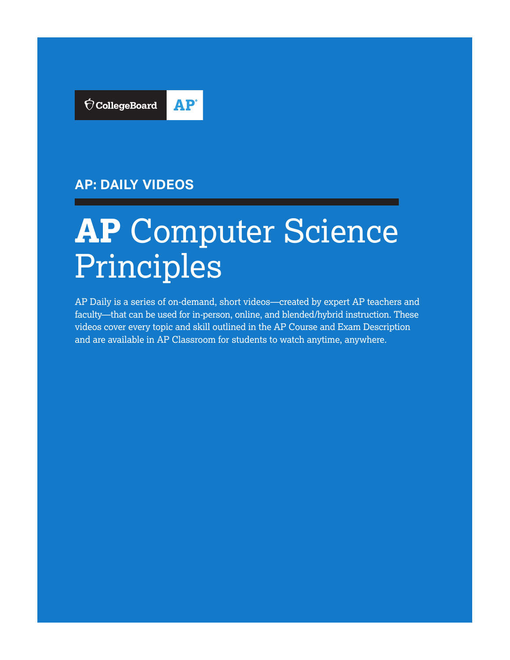

# **AP: DAILY VIDEOS**

# **AP** Computer Science Principles

AP Daily is a series of on-demand, short videos—created by expert AP teachers and faculty—that can be used for in-person, online, and blended/hybrid instruction. These videos cover every topic and skill outlined in the AP Course and Exam Description and are available in AP Classroom for students to watch anytime, anywhere.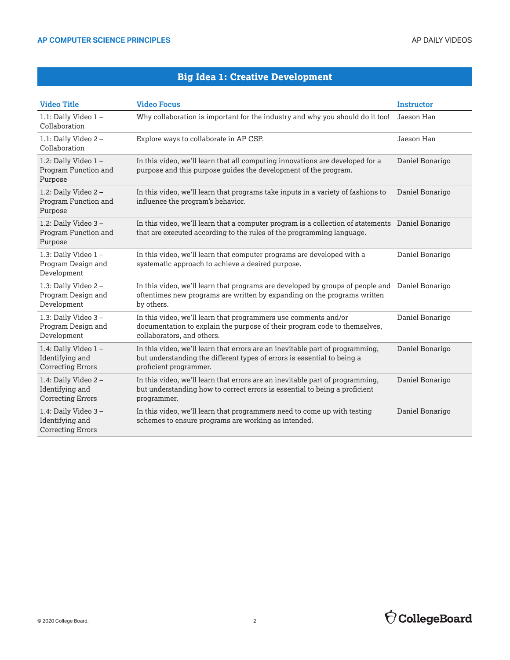## **Big Idea 1: Creative Development**

| <b>Video Title</b>                                                 | <b>Video Focus</b>                                                                                                                                                                       | <b>Instructor</b> |
|--------------------------------------------------------------------|------------------------------------------------------------------------------------------------------------------------------------------------------------------------------------------|-------------------|
| 1.1: Daily Video 1-<br>Collaboration                               | Why collaboration is important for the industry and why you should do it too!                                                                                                            | Jaeson Han        |
| 1.1: Daily Video 2-<br>Collaboration                               | Explore ways to collaborate in AP CSP.                                                                                                                                                   | Jaeson Han        |
| 1.2: Daily Video 1-<br>Program Function and<br>Purpose             | In this video, we'll learn that all computing innovations are developed for a<br>purpose and this purpose guides the development of the program.                                         | Daniel Bonarigo   |
| 1.2: Daily Video 2-<br>Program Function and<br>Purpose             | In this video, we'll learn that programs take inputs in a variety of fashions to<br>influence the program's behavior.                                                                    | Daniel Bonarigo   |
| 1.2: Daily Video 3-<br>Program Function and<br>Purpose             | In this video, we'll learn that a computer program is a collection of statements Daniel Bonarigo<br>that are executed according to the rules of the programming language.                |                   |
| 1.3: Daily Video 1-<br>Program Design and<br>Development           | In this video, we'll learn that computer programs are developed with a<br>systematic approach to achieve a desired purpose.                                                              | Daniel Bonarigo   |
| 1.3: Daily Video 2-<br>Program Design and<br>Development           | In this video, we'll learn that programs are developed by groups of people and Daniel Bonarigo<br>oftentimes new programs are written by expanding on the programs written<br>by others. |                   |
| 1.3: Daily Video 3-<br>Program Design and<br>Development           | In this video, we'll learn that programmers use comments and/or<br>documentation to explain the purpose of their program code to themselves,<br>collaborators, and others.               | Daniel Bonarigo   |
| 1.4: Daily Video 1-<br>Identifying and<br><b>Correcting Errors</b> | In this video, we'll learn that errors are an inevitable part of programming,<br>but understanding the different types of errors is essential to being a<br>proficient programmer.       | Daniel Bonarigo   |
| 1.4: Daily Video 2-<br>Identifying and<br><b>Correcting Errors</b> | In this video, we'll learn that errors are an inevitable part of programming,<br>but understanding how to correct errors is essential to being a proficient<br>programmer.               | Daniel Bonarigo   |
| 1.4: Daily Video 3-<br>Identifying and<br><b>Correcting Errors</b> | In this video, we'll learn that programmers need to come up with testing<br>schemes to ensure programs are working as intended.                                                          | Daniel Bonarigo   |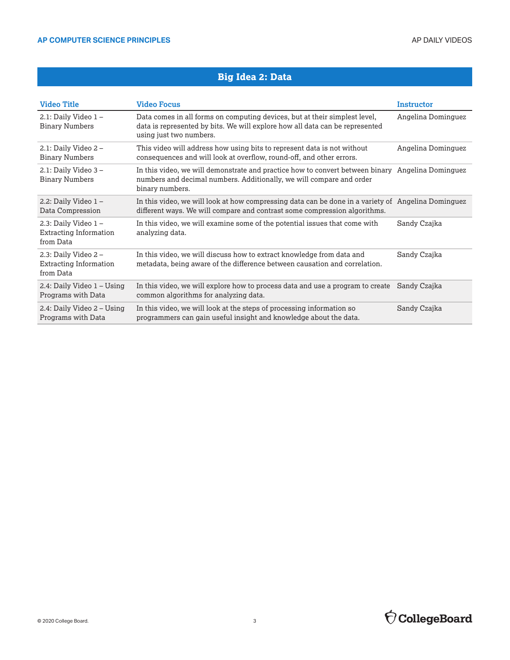## **Big Idea 2: Data**

| <b>Video Title</b>                                                | <b>Video Focus</b>                                                                                                                                                                          | Instructor         |
|-------------------------------------------------------------------|---------------------------------------------------------------------------------------------------------------------------------------------------------------------------------------------|--------------------|
| 2.1: Daily Video 1-<br><b>Binary Numbers</b>                      | Data comes in all forms on computing devices, but at their simplest level,<br>data is represented by bits. We will explore how all data can be represented<br>using just two numbers.       | Angelina Dominguez |
| 2.1: Daily Video $2 -$<br><b>Binary Numbers</b>                   | This video will address how using bits to represent data is not without<br>consequences and will look at overflow, round-off, and other errors.                                             | Angelina Dominguez |
| 2.1: Daily Video 3-<br><b>Binary Numbers</b>                      | In this video, we will demonstrate and practice how to convert between binary Angelina Dominguez<br>numbers and decimal numbers. Additionally, we will compare and order<br>binary numbers. |                    |
| 2.2: Daily Video $1 -$<br>Data Compression                        | In this video, we will look at how compressing data can be done in a variety of Angelina Dominguez<br>different ways. We will compare and contrast some compression algorithms.             |                    |
| 2.3: Daily Video 1-<br><b>Extracting Information</b><br>from Data | In this video, we will examine some of the potential issues that come with<br>analyzing data.                                                                                               | Sandy Czajka       |
| 2.3: Daily Video $2 -$<br>Extracting Information<br>from Data     | In this video, we will discuss how to extract knowledge from data and<br>metadata, being aware of the difference between causation and correlation.                                         | Sandy Czajka       |
| 2.4: Daily Video 1 – Using<br>Programs with Data                  | In this video, we will explore how to process data and use a program to create<br>common algorithms for analyzing data.                                                                     | Sandy Czajka       |
| 2.4: Daily Video 2 - Using<br>Programs with Data                  | In this video, we will look at the steps of processing information so<br>programmers can gain useful insight and knowledge about the data.                                                  | Sandy Czajka       |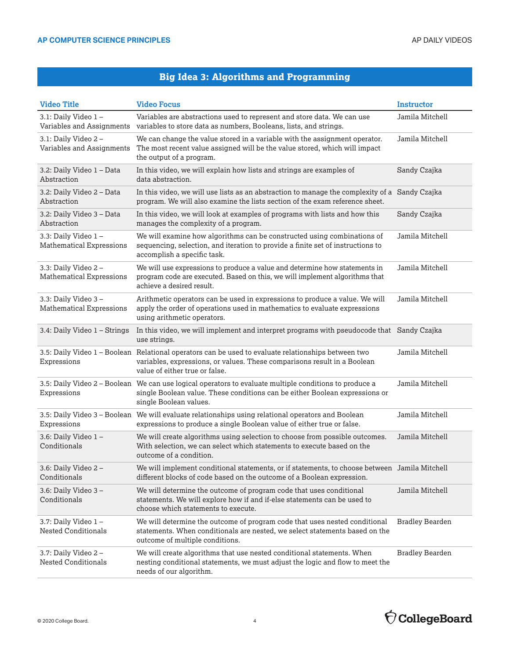# **Big Idea 3: Algorithms and Programming**

| <b>Video Title</b>                                     | <b>Video Focus</b>                                                                                                                                                                                                | Instructor             |
|--------------------------------------------------------|-------------------------------------------------------------------------------------------------------------------------------------------------------------------------------------------------------------------|------------------------|
| 3.1: Daily Video 1-<br>Variables and Assignments       | Variables are abstractions used to represent and store data. We can use<br>variables to store data as numbers, Booleans, lists, and strings.                                                                      | Jamila Mitchell        |
| 3.1: Daily Video 2-<br>Variables and Assignments       | We can change the value stored in a variable with the assignment operator.<br>The most recent value assigned will be the value stored, which will impact<br>the output of a program.                              | Jamila Mitchell        |
| 3.2: Daily Video 1 – Data<br>Abstraction               | In this video, we will explain how lists and strings are examples of<br>data abstraction.                                                                                                                         | Sandy Czajka           |
| 3.2: Daily Video 2 - Data<br>Abstraction               | In this video, we will use lists as an abstraction to manage the complexity of a Sandy Czajka<br>program. We will also examine the lists section of the exam reference sheet.                                     |                        |
| 3.2: Daily Video 3 - Data<br>Abstraction               | In this video, we will look at examples of programs with lists and how this<br>manages the complexity of a program.                                                                                               | Sandy Czajka           |
| 3.3: Daily Video 1-<br><b>Mathematical Expressions</b> | We will examine how algorithms can be constructed using combinations of<br>sequencing, selection, and iteration to provide a finite set of instructions to<br>accomplish a specific task.                         | Jamila Mitchell        |
| 3.3: Daily Video 2-<br><b>Mathematical Expressions</b> | We will use expressions to produce a value and determine how statements in<br>program code are executed. Based on this, we will implement algorithms that<br>achieve a desired result.                            | Jamila Mitchell        |
| 3.3: Daily Video 3-<br>Mathematical Expressions        | Arithmetic operators can be used in expressions to produce a value. We will<br>apply the order of operations used in mathematics to evaluate expressions<br>using arithmetic operators.                           | Jamila Mitchell        |
| 3.4: Daily Video 1 - Strings                           | In this video, we will implement and interpret programs with pseudocode that Sandy Czajka<br>use strings.                                                                                                         |                        |
| Expressions                                            | 3.5: Daily Video 1 - Boolean Relational operators can be used to evaluate relationships between two<br>variables, expressions, or values. These comparisons result in a Boolean<br>value of either true or false. | Jamila Mitchell        |
| Expressions                                            | 3.5: Daily Video 2 - Boolean We can use logical operators to evaluate multiple conditions to produce a<br>single Boolean value. These conditions can be either Boolean expressions or<br>single Boolean values.   | Jamila Mitchell        |
| Expressions                                            | 3.5: Daily Video 3 - Boolean We will evaluate relationships using relational operators and Boolean<br>expressions to produce a single Boolean value of either true or false.                                      | Jamila Mitchell        |
| 3.6: Daily Video 1-<br>Conditionals                    | We will create algorithms using selection to choose from possible outcomes.<br>With selection, we can select which statements to execute based on the<br>outcome of a condition.                                  | Jamila Mitchell        |
| 3.6: Daily Video 2-<br>Conditionals                    | We will implement conditional statements, or if statements, to choose between Jamila Mitchell<br>different blocks of code based on the outcome of a Boolean expression.                                           |                        |
| 3.6: Daily Video 3-<br>Conditionals                    | We will determine the outcome of program code that uses conditional<br>statements. We will explore how if and if-else statements can be used to<br>choose which statements to execute.                            | Jamila Mitchell        |
| 3.7: Daily Video 1-<br>Nested Conditionals             | We will determine the outcome of program code that uses nested conditional<br>statements. When conditionals are nested, we select statements based on the<br>outcome of multiple conditions.                      | <b>Bradley Bearden</b> |
| 3.7: Daily Video 2-<br><b>Nested Conditionals</b>      | We will create algorithms that use nested conditional statements. When<br>nesting conditional statements, we must adjust the logic and flow to meet the<br>needs of our algorithm.                                | <b>Bradley Bearden</b> |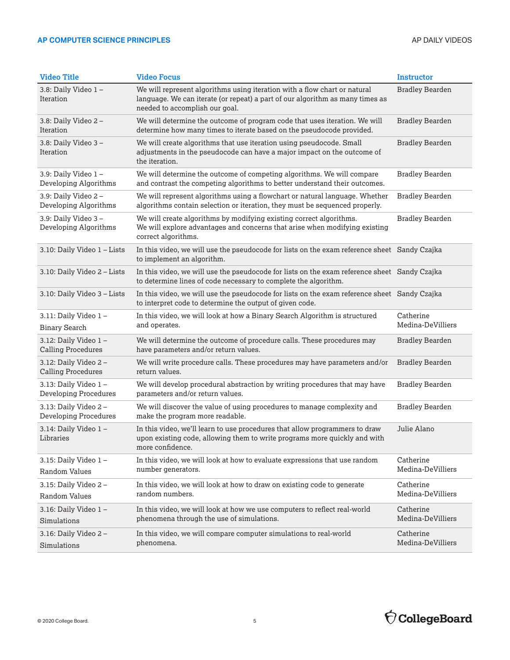#### AP COMPUTER SCIENCE PRINCIPLES **AP COMPUTER SCIENCE PRINCIPLES**

| <b>Video Title</b>                                | <b>Video Focus</b>                                                                                                                                                                           | <b>Instructor</b>              |
|---------------------------------------------------|----------------------------------------------------------------------------------------------------------------------------------------------------------------------------------------------|--------------------------------|
| 3.8: Daily Video 1-<br>Iteration                  | We will represent algorithms using iteration with a flow chart or natural<br>language. We can iterate (or repeat) a part of our algorithm as many times as<br>needed to accomplish our goal. | <b>Bradley Bearden</b>         |
| 3.8: Daily Video 2-<br>Iteration                  | We will determine the outcome of program code that uses iteration. We will<br>determine how many times to iterate based on the pseudocode provided.                                          | <b>Bradley Bearden</b>         |
| 3.8: Daily Video 3-<br>Iteration                  | We will create algorithms that use iteration using pseudocode. Small<br>adjustments in the pseudocode can have a major impact on the outcome of<br>the iteration.                            | <b>Bradley Bearden</b>         |
| 3.9: Daily Video 1-<br>Developing Algorithms      | We will determine the outcome of competing algorithms. We will compare<br>and contrast the competing algorithms to better understand their outcomes.                                         | <b>Bradley Bearden</b>         |
| 3.9: Daily Video 2-<br>Developing Algorithms      | We will represent algorithms using a flowchart or natural language. Whether<br>algorithms contain selection or iteration, they must be sequenced properly.                                   | <b>Bradley Bearden</b>         |
| 3.9: Daily Video 3-<br>Developing Algorithms      | We will create algorithms by modifying existing correct algorithms.<br>We will explore advantages and concerns that arise when modifying existing<br>correct algorithms.                     | <b>Bradley Bearden</b>         |
| 3.10: Daily Video 1 - Lists                       | In this video, we will use the pseudocode for lists on the exam reference sheet Sandy Czajka<br>to implement an algorithm.                                                                   |                                |
| 3.10: Daily Video 2 - Lists                       | In this video, we will use the pseudocode for lists on the exam reference sheet Sandy Czajka<br>to determine lines of code necessary to complete the algorithm.                              |                                |
| 3.10: Daily Video 3 - Lists                       | In this video, we will use the pseudocode for lists on the exam reference sheet Sandy Czajka<br>to interpret code to determine the output of given code.                                     |                                |
| 3.11: Daily Video 1-<br><b>Binary Search</b>      | In this video, we will look at how a Binary Search Algorithm is structured<br>and operates.                                                                                                  | Catherine<br>Medina-DeVilliers |
| 3.12: Daily Video 1-<br><b>Calling Procedures</b> | We will determine the outcome of procedure calls. These procedures may<br>have parameters and/or return values.                                                                              | <b>Bradley Bearden</b>         |
| 3.12: Daily Video 2-<br><b>Calling Procedures</b> | We will write procedure calls. These procedures may have parameters and/or<br>return values.                                                                                                 | <b>Bradley Bearden</b>         |
| 3.13: Daily Video 1-<br>Developing Procedures     | We will develop procedural abstraction by writing procedures that may have<br>parameters and/or return values.                                                                               | <b>Bradley Bearden</b>         |
| 3.13: Daily Video 2-<br>Developing Procedures     | We will discover the value of using procedures to manage complexity and<br>make the program more readable.                                                                                   | <b>Bradley Bearden</b>         |
| 3.14: Daily Video 1-<br>Libraries                 | In this video, we'll learn to use procedures that allow programmers to draw<br>upon existing code, allowing them to write programs more quickly and with<br>more confidence.                 | Julie Alano                    |
| 3.15: Daily Video 1-                              | In this video, we will look at how to evaluate expressions that use random                                                                                                                   | Catherine                      |
| Random Values                                     | number generators.                                                                                                                                                                           | Medina-DeVilliers              |
| 3.15: Daily Video 2-<br>Random Values             | In this video, we will look at how to draw on existing code to generate<br>random numbers.                                                                                                   | Catherine<br>Medina-DeVilliers |
| 3.16: Daily Video 1-<br>Simulations               | In this video, we will look at how we use computers to reflect real-world<br>phenomena through the use of simulations.                                                                       | Catherine<br>Medina-DeVilliers |
| 3.16: Daily Video 2-<br>Simulations               | In this video, we will compare computer simulations to real-world<br>phenomena.                                                                                                              | Catherine<br>Medina-DeVilliers |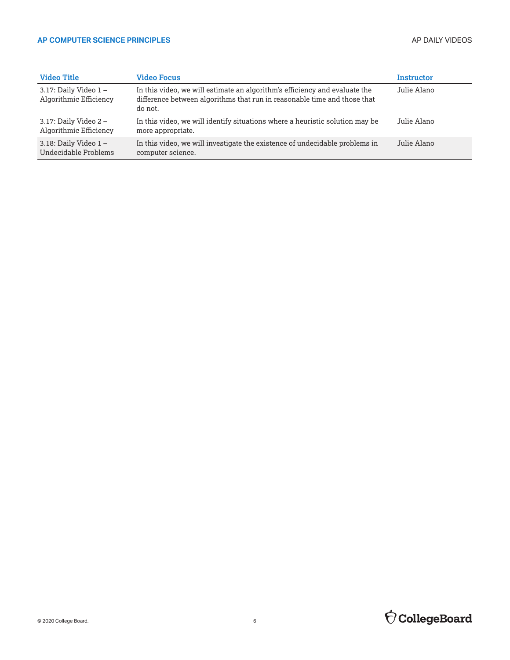#### AP COMPUTER SCIENCE PRINCIPLES **AP COMPUTER SCIENCE PRINCIPLES**

| <b>Video Title</b>                                | <b>Video Focus</b>                                                                                                                                                | Instructor  |
|---------------------------------------------------|-------------------------------------------------------------------------------------------------------------------------------------------------------------------|-------------|
| 3.17: Daily Video $1 -$<br>Algorithmic Efficiency | In this video, we will estimate an algorithm's efficiency and evaluate the<br>difference between algorithms that run in reasonable time and those that<br>do not. | Julie Alano |
| 3.17: Daily Video $2-$<br>Algorithmic Efficiency  | In this video, we will identify situations where a heuristic solution may be<br>more appropriate.                                                                 | Julie Alano |
| 3.18: Daily Video $1 -$<br>Undecidable Problems   | In this video, we will investigate the existence of undecidable problems in<br>computer science.                                                                  | Julie Alano |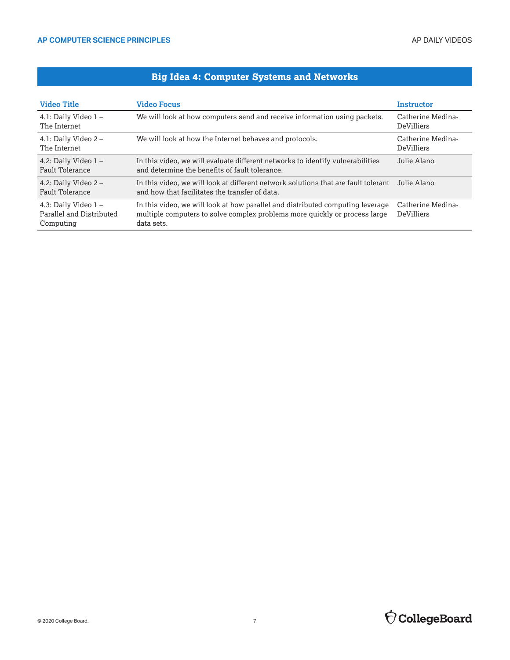## **Big Idea 4: Computer Systems and Networks**

| <b>Video Title</b>                                           | <b>Video Focus</b>                                                                                                                                                         | <b>Instructor</b>                      |
|--------------------------------------------------------------|----------------------------------------------------------------------------------------------------------------------------------------------------------------------------|----------------------------------------|
| 4.1: Daily Video $1 -$<br>The Internet                       | We will look at how computers send and receive information using packets.                                                                                                  | Catherine Medina-<br>DeVilliers        |
| 4.1: Daily Video $2 -$<br>The Internet                       | We will look at how the Internet behaves and protocols.                                                                                                                    | Catherine Medina-<br><b>DeVilliers</b> |
| 4.2: Daily Video $1 -$<br>Fault Tolerance                    | In this video, we will evaluate different networks to identify vulnerabilities<br>and determine the benefits of fault tolerance.                                           | Julie Alano                            |
| 4.2: Daily Video $2-$<br>Fault Tolerance                     | In this video, we will look at different network solutions that are fault tolerant<br>and how that facilitates the transfer of data.                                       | Julie Alano                            |
| 4.3: Daily Video 1-<br>Parallel and Distributed<br>Computing | In this video, we will look at how parallel and distributed computing leverage<br>multiple computers to solve complex problems more quickly or process large<br>data sets. | Catherine Medina-<br>DeVilliers        |